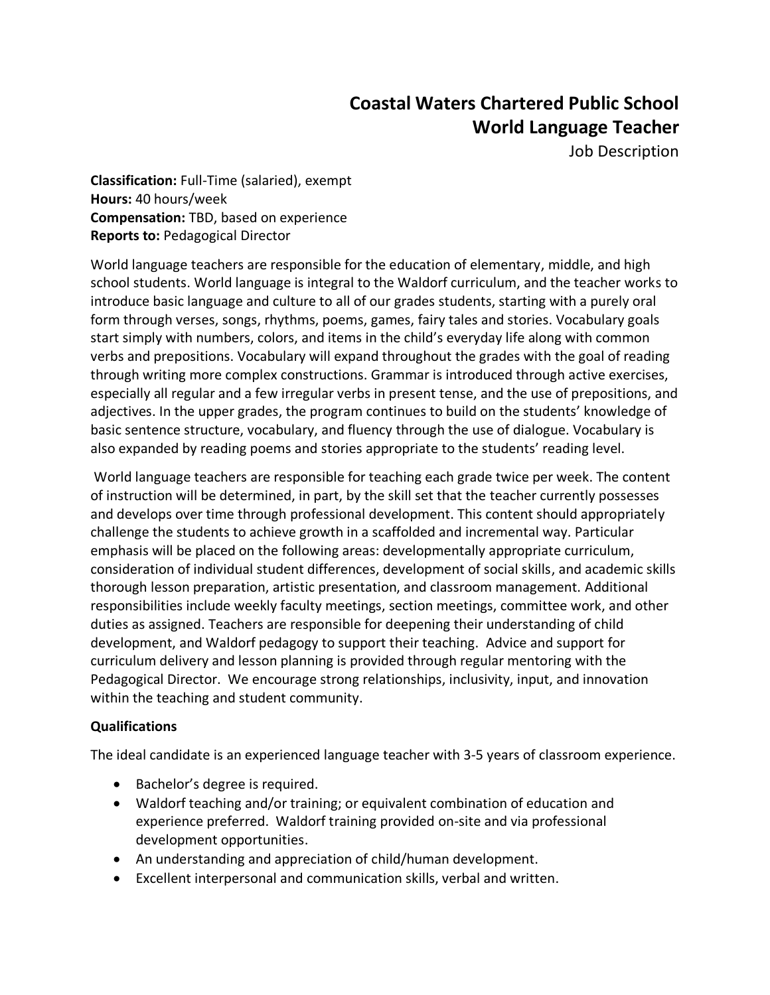# **Coastal Waters Chartered Public School World Language Teacher**

Job Description

**Classification:** Full-Time (salaried), exempt **Hours:** 40 hours/week **Compensation:** TBD, based on experience **Reports to:** Pedagogical Director

World language teachers are responsible for the education of elementary, middle, and high school students. World language is integral to the Waldorf curriculum, and the teacher works to introduce basic language and culture to all of our grades students, starting with a purely oral form through verses, songs, rhythms, poems, games, fairy tales and stories. Vocabulary goals start simply with numbers, colors, and items in the child's everyday life along with common verbs and prepositions. Vocabulary will expand throughout the grades with the goal of reading through writing more complex constructions. Grammar is introduced through active exercises, especially all regular and a few irregular verbs in present tense, and the use of prepositions, and adjectives. In the upper grades, the program continues to build on the students' knowledge of basic sentence structure, vocabulary, and fluency through the use of dialogue. Vocabulary is also expanded by reading poems and stories appropriate to the students' reading level.

World language teachers are responsible for teaching each grade twice per week. The content of instruction will be determined, in part, by the skill set that the teacher currently possesses and develops over time through professional development. This content should appropriately challenge the students to achieve growth in a scaffolded and incremental way. Particular emphasis will be placed on the following areas: developmentally appropriate curriculum, consideration of individual student differences, development of social skills, and academic skills thorough lesson preparation, artistic presentation, and classroom management. Additional responsibilities include weekly faculty meetings, section meetings, committee work, and other duties as assigned. Teachers are responsible for deepening their understanding of child development, and Waldorf pedagogy to support their teaching. Advice and support for curriculum delivery and lesson planning is provided through regular mentoring with the Pedagogical Director. We encourage strong relationships, inclusivity, input, and innovation within the teaching and student community.

## **Qualifications**

The ideal candidate is an experienced language teacher with 3-5 years of classroom experience.

- Bachelor's degree is required.
- Waldorf teaching and/or training; or equivalent combination of education and experience preferred. Waldorf training provided on-site and via professional development opportunities.
- An understanding and appreciation of child/human development.
- Excellent interpersonal and communication skills, verbal and written.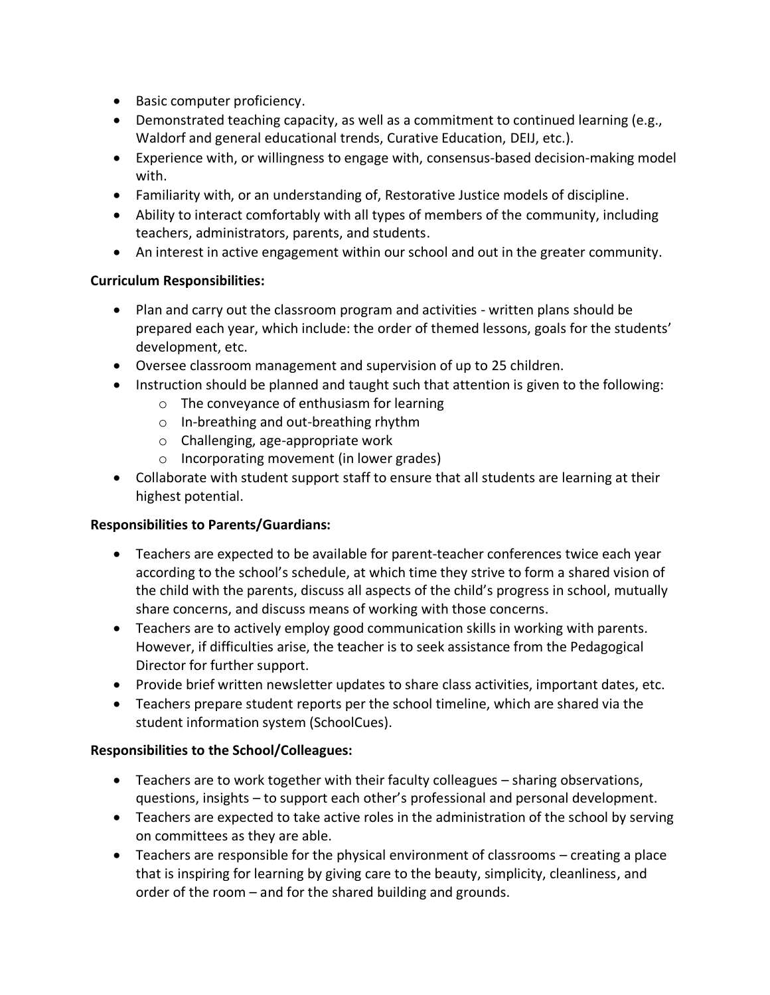- Basic computer proficiency.
- Demonstrated teaching capacity, as well as a commitment to continued learning (e.g., Waldorf and general educational trends, Curative Education, DEIJ, etc.).
- Experience with, or willingness to engage with, consensus-based decision-making model with.
- Familiarity with, or an understanding of, Restorative Justice models of discipline.
- Ability to interact comfortably with all types of members of the community, including teachers, administrators, parents, and students.
- An interest in active engagement within our school and out in the greater community.

## **Curriculum Responsibilities:**

- Plan and carry out the classroom program and activities written plans should be prepared each year, which include: the order of themed lessons, goals for the students' development, etc.
- Oversee classroom management and supervision of up to 25 children.
- Instruction should be planned and taught such that attention is given to the following:
	- o The conveyance of enthusiasm for learning
	- o In-breathing and out-breathing rhythm
	- o Challenging, age-appropriate work
	- o Incorporating movement (in lower grades)
- Collaborate with student support staff to ensure that all students are learning at their highest potential.

## **Responsibilities to Parents/Guardians:**

- Teachers are expected to be available for parent-teacher conferences twice each year according to the school's schedule, at which time they strive to form a shared vision of the child with the parents, discuss all aspects of the child's progress in school, mutually share concerns, and discuss means of working with those concerns.
- Teachers are to actively employ good communication skills in working with parents. However, if difficulties arise, the teacher is to seek assistance from the Pedagogical Director for further support.
- Provide brief written newsletter updates to share class activities, important dates, etc.
- Teachers prepare student reports per the school timeline, which are shared via the student information system (SchoolCues).

## **Responsibilities to the School/Colleagues:**

- Teachers are to work together with their faculty colleagues sharing observations, questions, insights – to support each other's professional and personal development.
- Teachers are expected to take active roles in the administration of the school by serving on committees as they are able.
- Teachers are responsible for the physical environment of classrooms creating a place that is inspiring for learning by giving care to the beauty, simplicity, cleanliness, and order of the room – and for the shared building and grounds.